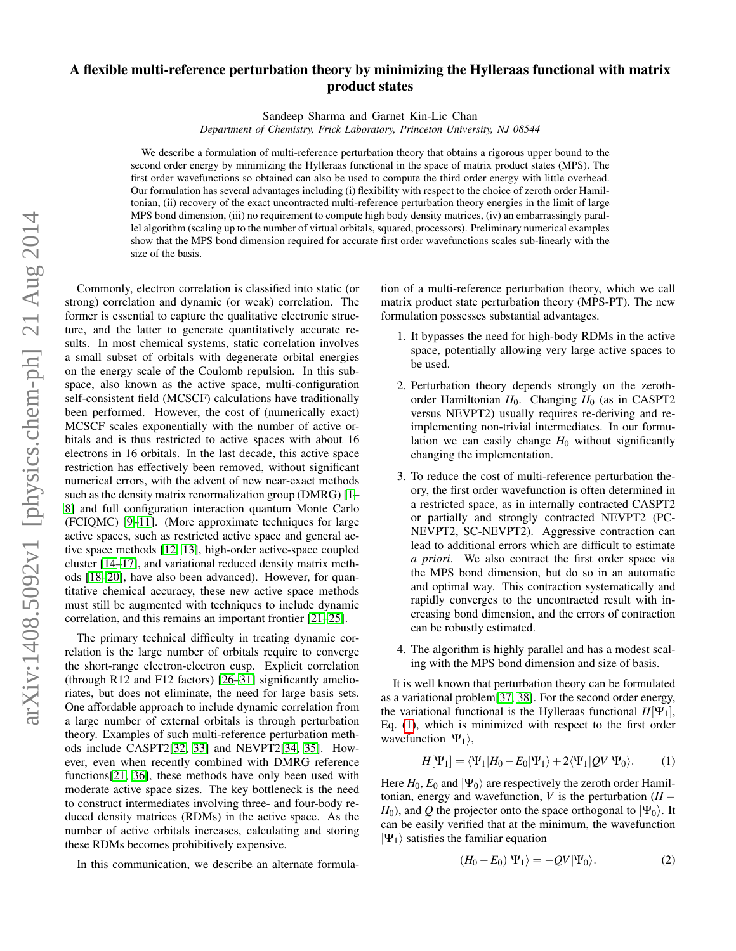## A flexible multi-reference perturbation theory by minimizing the Hylleraas functional with matrix product states

Sandeep Sharma and Garnet Kin-Lic Chan

*Department of Chemistry, Frick Laboratory, Princeton University, NJ 08544*

We describe a formulation of multi-reference perturbation theory that obtains a rigorous upper bound to the second order energy by minimizing the Hylleraas functional in the space of matrix product states (MPS). The first order wavefunctions so obtained can also be used to compute the third order energy with little overhead. Our formulation has several advantages including (i) flexibility with respect to the choice of zeroth order Hamiltonian, (ii) recovery of the exact uncontracted multi-reference perturbation theory energies in the limit of large MPS bond dimension, (iii) no requirement to compute high body density matrices, (iv) an embarrassingly parallel algorithm (scaling up to the number of virtual orbitals, squared, processors). Preliminary numerical examples show that the MPS bond dimension required for accurate first order wavefunctions scales sub-linearly with the size of the basis.

Commonly, electron correlation is classified into static (or strong) correlation and dynamic (or weak) correlation. The former is essential to capture the qualitative electronic structure, and the latter to generate quantitatively accurate results. In most chemical systems, static correlation involves a small subset of orbitals with degenerate orbital energies on the energy scale of the Coulomb repulsion. In this subspace, also known as the active space, multi-configuration self-consistent field (MCSCF) calculations have traditionally been performed. However, the cost of (numerically exact) MCSCF scales exponentially with the number of active orbitals and is thus restricted to active spaces with about 16 electrons in 16 orbitals. In the last decade, this active space restriction has effectively been removed, without significant numerical errors, with the advent of new near-exact methods such as the density matrix renormalization group (DMRG) [\[1–](#page-4-0) [8\]](#page-4-1) and full configuration interaction quantum Monte Carlo (FCIQMC) [\[9](#page-4-2)[–11\]](#page-4-3). (More approximate techniques for large active spaces, such as restricted active space and general active space methods [\[12,](#page-4-4) [13\]](#page-4-5), high-order active-space coupled cluster [\[14](#page-4-6)[–17\]](#page-4-7), and variational reduced density matrix methods [\[18](#page-4-8)[–20\]](#page-4-9), have also been advanced). However, for quantitative chemical accuracy, these new active space methods must still be augmented with techniques to include dynamic correlation, and this remains an important frontier [\[21–](#page-4-10)[25\]](#page-4-11).

The primary technical difficulty in treating dynamic correlation is the large number of orbitals require to converge the short-range electron-electron cusp. Explicit correlation (through R12 and F12 factors) [\[26–](#page-4-12)[31\]](#page-4-13) significantly amelioriates, but does not eliminate, the need for large basis sets. One affordable approach to include dynamic correlation from a large number of external orbitals is through perturbation theory. Examples of such multi-reference perturbation methods include CASPT2[\[32,](#page-4-14) [33\]](#page-4-15) and NEVPT2[\[34,](#page-4-16) [35\]](#page-4-17). However, even when recently combined with DMRG reference functions[\[21,](#page-4-10) [36\]](#page-4-18), these methods have only been used with moderate active space sizes. The key bottleneck is the need to construct intermediates involving three- and four-body reduced density matrices (RDMs) in the active space. As the number of active orbitals increases, calculating and storing these RDMs becomes prohibitively expensive.

In this communication, we describe an alternate formula-

tion of a multi-reference perturbation theory, which we call matrix product state perturbation theory (MPS-PT). The new formulation possesses substantial advantages.

- 1. It bypasses the need for high-body RDMs in the active space, potentially allowing very large active spaces to be used.
- 2. Perturbation theory depends strongly on the zerothorder Hamiltonian *H*<sub>0</sub>. Changing *H*<sub>0</sub> (as in CASPT2 versus NEVPT2) usually requires re-deriving and reimplementing non-trivial intermediates. In our formulation we can easily change  $H_0$  without significantly changing the implementation.
- 3. To reduce the cost of multi-reference perturbation theory, the first order wavefunction is often determined in a restricted space, as in internally contracted CASPT2 or partially and strongly contracted NEVPT2 (PC-NEVPT2, SC-NEVPT2). Aggressive contraction can lead to additional errors which are difficult to estimate *a priori*. We also contract the first order space via the MPS bond dimension, but do so in an automatic and optimal way. This contraction systematically and rapidly converges to the uncontracted result with increasing bond dimension, and the errors of contraction can be robustly estimated.
- 4. The algorithm is highly parallel and has a modest scaling with the MPS bond dimension and size of basis.

It is well known that perturbation theory can be formulated as a variational problem[\[37,](#page-4-19) [38\]](#page-4-20). For the second order energy, the variational functional is the Hylleraas functional  $H[\Psi_1]$ , Eq. [\(1\)](#page-0-0), which is minimized with respect to the first order wavefunction  $|\Psi_1\rangle$ ,

$$
H[\Psi_1] = \langle \Psi_1 | H_0 - E_0 | \Psi_1 \rangle + 2 \langle \Psi_1 | Q V | \Psi_0 \rangle.
$$
 (1)

Here  $H_0$ ,  $E_0$  and  $|\Psi_0\rangle$  are respectively the zeroth order Hamiltonian, energy and wavefunction, *V* is the perturbation  $(H -$ *H*<sub>0</sub>), and *Q* the projector onto the space orthogonal to  $|\Psi_0\rangle$ . It can be easily verified that at the minimum, the wavefunction  $|\Psi_1\rangle$  satisfies the familiar equation

<span id="page-0-0"></span>
$$
(H_0 - E_0)|\Psi_1\rangle = -QV|\Psi_0\rangle.
$$
 (2)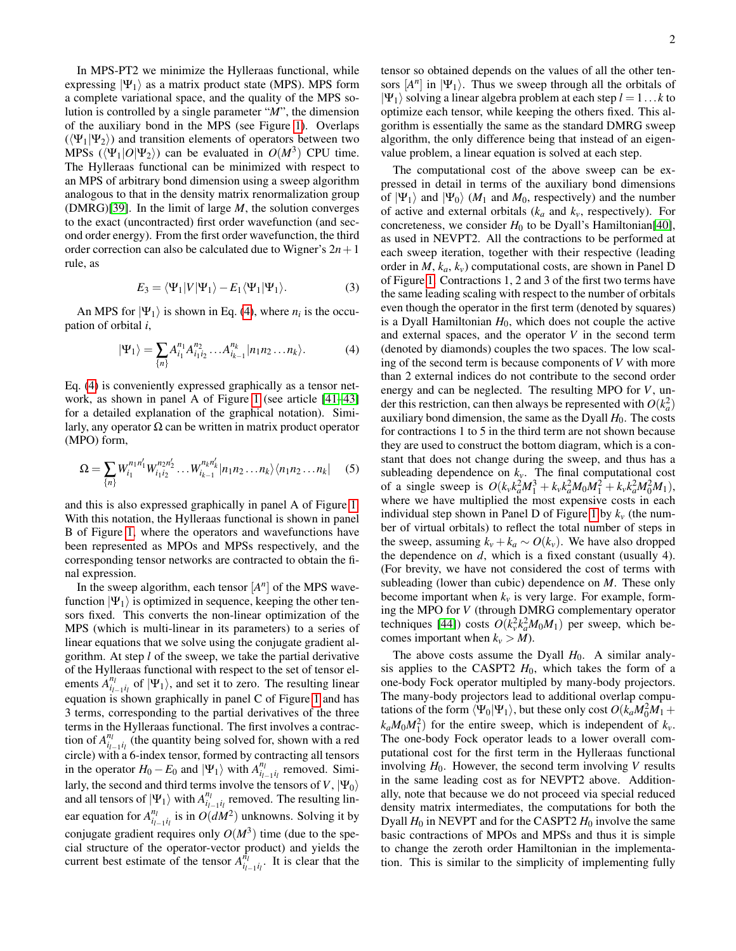In MPS-PT2 we minimize the Hylleraas functional, while expressing  $|\Psi_1\rangle$  as a matrix product state (MPS). MPS form a complete variational space, and the quality of the MPS solution is controlled by a single parameter "*M*", the dimension of the auxiliary bond in the MPS (see Figure [1\)](#page-2-0). Overlaps  $(\langle \Psi_1 | \Psi_2 \rangle)$  and transition elements of operators between two MPSs ( $\langle \Psi_1|O|\Psi_2\rangle$ ) can be evaluated in  $O(M^3)$  CPU time. The Hylleraas functional can be minimized with respect to an MPS of arbitrary bond dimension using a sweep algorithm analogous to that in the density matrix renormalization group (DMRG)[\[39\]](#page-4-21). In the limit of large *M*, the solution converges to the exact (uncontracted) first order wavefunction (and second order energy). From the first order wavefunction, the third order correction can also be calculated due to Wigner's  $2n+1$ rule, as

$$
E_3 = \langle \Psi_1 | V | \Psi_1 \rangle - E_1 \langle \Psi_1 | \Psi_1 \rangle. \tag{3}
$$

An MPS for  $|\Psi_1\rangle$  is shown in Eq. [\(4\)](#page-1-0), where  $n_i$  is the occupation of orbital *i*,

$$
|\Psi_1\rangle = \sum_{\{n\}} A_{i_1}^{n_1} A_{i_1 i_2}^{n_2} \dots A_{i_{k-1}}^{n_k} |n_1 n_2 \dots n_k\rangle.
$$
 (4)

Eq. [\(4\)](#page-1-0) is conveniently expressed graphically as a tensor network, as shown in panel A of Figure [1](#page-2-0) (see article [\[41–](#page-4-22)[43\]](#page-4-23) for a detailed explanation of the graphical notation). Similarly, any operator  $\Omega$  can be written in matrix product operator (MPO) form,

$$
\Omega = \sum_{\{n\}} W_{i_1}^{n_1 n_1'} W_{i_1 i_2}^{n_2 n_2'} \dots W_{i_{k-1}}^{n_k n_k'} |n_1 n_2 \dots n_k\rangle \langle n_1 n_2 \dots n_k| \quad (5)
$$

and this is also expressed graphically in panel A of Figure [1.](#page-2-0) With this notation, the Hylleraas functional is shown in panel B of Figure [1,](#page-2-0) where the operators and wavefunctions have been represented as MPOs and MPSs respectively, and the corresponding tensor networks are contracted to obtain the final expression.

In the sweep algorithm, each tensor  $[A<sup>n</sup>]$  of the MPS wavefunction  $|\Psi_1\rangle$  is optimized in sequence, keeping the other tensors fixed. This converts the non-linear optimization of the MPS (which is multi-linear in its parameters) to a series of linear equations that we solve using the conjugate gradient algorithm. At step *l* of the sweep, we take the partial derivative of the Hylleraas functional with respect to the set of tensor elements  $A_{i_{l-1}i_l}^{n_l}$  of  $|\Psi_1\rangle$ , and set it to zero. The resulting linear equation is shown graphically in panel C of Figure [1](#page-2-0) and has 3 terms, corresponding to the partial derivatives of the three terms in the Hylleraas functional. The first involves a contraction of  $A_{i_1-i_1}^{n_1}$  (the quantity being solved for, shown with a red circle) with a 6-index tensor, formed by contracting all tensors in the operator  $H_0 - E_0$  and  $|\Psi_1\rangle$  with  $A_{i_{l-1}i_l}^{n_l}$  removed. Similarly, the second and third terms involve the tensors of *V*,  $|\Psi_0\rangle$ and all tensors of  $|\Psi_1\rangle$  with  $A_{i_{l-1}i_l}^{n_l}$  removed. The resulting linear equation for  $A_{i_{l-1}i_l}^{n_l}$  is in  $O(dM^2)$  unknowns. Solving it by conjugate gradient requires only  $O(M^3)$  time (due to the special structure of the operator-vector product) and yields the current best estimate of the tensor  $A_{i_{l-1}i_l}^{n_l}$ . It is clear that the

tensor so obtained depends on the values of all the other tensors  $[A^n]$  in  $|\Psi_1\rangle$ . Thus we sweep through all the orbitals of  $|\Psi_1\rangle$  solving a linear algebra problem at each step  $l = 1...k$  to optimize each tensor, while keeping the others fixed. This algorithm is essentially the same as the standard DMRG sweep algorithm, the only difference being that instead of an eigenvalue problem, a linear equation is solved at each step.

<span id="page-1-0"></span>The computational cost of the above sweep can be expressed in detail in terms of the auxiliary bond dimensions of  $|\Psi_1\rangle$  and  $|\Psi_0\rangle$  (*M*<sub>1</sub> and *M*<sub>0</sub>, respectively) and the number of active and external orbitals ( $k_a$  and  $k_v$ , respectively). For concreteness, we consider  $H_0$  to be Dyall's Hamiltonian<sup>[\[40\]](#page-4-24)</sup>, as used in NEVPT2. All the contractions to be performed at each sweep iteration, together with their respective (leading order in  $M$ ,  $k_a$ ,  $k_v$ ) computational costs, are shown in Panel D of Figure [1.](#page-2-0) Contractions 1, 2 and 3 of the first two terms have the same leading scaling with respect to the number of orbitals even though the operator in the first term (denoted by squares) is a Dyall Hamiltonian  $H_0$ , which does not couple the active and external spaces, and the operator  $V$  in the second term (denoted by diamonds) couples the two spaces. The low scaling of the second term is because components of *V* with more than 2 external indices do not contribute to the second order energy and can be neglected. The resulting MPO for *V*, under this restriction, can then always be represented with  $O(k_a^2)$ auxiliary bond dimension, the same as the Dyall  $H_0$ . The costs for contractions 1 to 5 in the third term are not shown because they are used to construct the bottom diagram, which is a constant that does not change during the sweep, and thus has a subleading dependence on  $k<sub>v</sub>$ . The final computational cost of a single sweep is  $O(k_v k_a^2 M_1^3 + k_v k_a^2 M_0 M_1^2 + k_v k_a^2 M_0^2 M_1$ , where we have multiplied the most expensive costs in each individual step shown in Panel D of Figure [1](#page-2-0) by  $k<sub>v</sub>$  (the number of virtual orbitals) to reflect the total number of steps in the sweep, assuming  $k_v + k_a \sim O(k_v)$ . We have also dropped the dependence on *d*, which is a fixed constant (usually 4). (For brevity, we have not considered the cost of terms with subleading (lower than cubic) dependence on *M*. These only become important when  $k<sub>v</sub>$  is very large. For example, forming the MPO for *V* (through DMRG complementary operator techniques [\[44\]](#page-4-25)) costs  $O(k_v^2 k_a^2 M_0 M_1)$  per sweep, which becomes important when  $k_v > M$ ).

The above costs assume the Dyall  $H_0$ . A similar analysis applies to the CASPT2  $H_0$ , which takes the form of a one-body Fock operator multipled by many-body projectors. The many-body projectors lead to additional overlap computations of the form  $\langle \Psi_0 | \Psi_1 \rangle$ , but these only cost  $O(k_a M_0^2 M_1 +$  $k_a M_0 M_1^2$  for the entire sweep, which is independent of  $k_v$ . The one-body Fock operator leads to a lower overall computational cost for the first term in the Hylleraas functional involving  $H_0$ . However, the second term involving *V* results in the same leading cost as for NEVPT2 above. Additionally, note that because we do not proceed via special reduced density matrix intermediates, the computations for both the Dyall  $H_0$  in NEVPT and for the CASPT2  $H_0$  involve the same basic contractions of MPOs and MPSs and thus it is simple to change the zeroth order Hamiltonian in the implementation. This is similar to the simplicity of implementing fully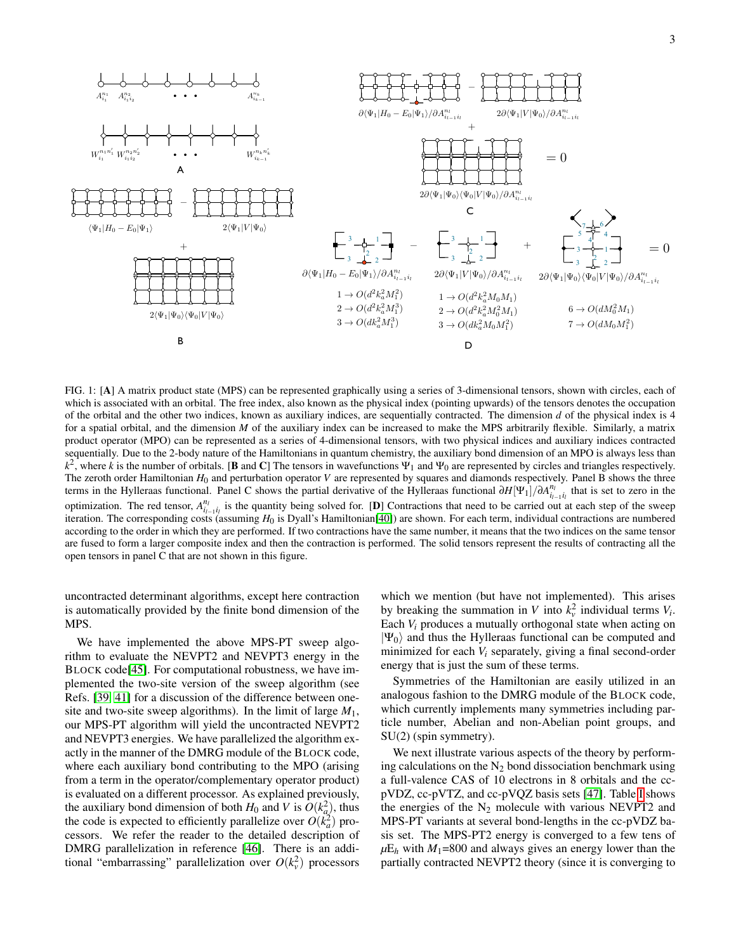

<span id="page-2-0"></span>FIG. 1: [A] A matrix product state (MPS) can be represented graphically using a series of 3-dimensional tensors, shown with circles, each of which is associated with an orbital. The free index, also known as the physical index (pointing upwards) of the tensors denotes the occupation of the orbital and the other two indices, known as auxiliary indices, are sequentially contracted. The dimension *d* of the physical index is 4 for a spatial orbital, and the dimension *M* of the auxiliary index can be increased to make the MPS arbitrarily flexible. Similarly, a matrix product operator (MPO) can be represented as a series of 4-dimensional tensors, with two physical indices and auxiliary indices contracted sequentially. Due to the 2-body nature of the Hamiltonians in quantum chemistry, the auxiliary bond dimension of an MPO is always less than  $k^2$ , where *k* is the number of orbitals. [B and C] The tensors in wavefunctions  $\Psi_1$  and  $\Psi_0$  are represented by circles and triangles respectively. The zeroth order Hamiltonian *H*<sup>0</sup> and perturbation operator *V* are represented by squares and diamonds respectively. Panel B shows the three terms in the Hylleraas functional. Panel C shows the partial derivative of the Hylleraas functional ∂*H*[Ψ1]/∂*A nl il*−1*i<sup>l</sup>* that is set to zero in the optimization. The red tensor,  $A_{i_1-i_1}^{n_1}$  is the quantity being solved for. [D] Contractions that need to be carried out at each step of the sweep iteration. The corresponding costs (assuming *H*<sup>0</sup> is Dyall's Hamiltonian[\[40\]](#page-4-24)) are shown. For each term, individual contractions are numbered according to the order in which they are performed. If two contractions have the same number, it means that the two indices on the same tensor are fused to form a larger composite index and then the contraction is performed. The solid tensors represent the results of contracting all the open tensors in panel C that are not shown in this figure.

uncontracted determinant algorithms, except here contraction is automatically provided by the finite bond dimension of the MPS.

We have implemented the above MPS-PT sweep algorithm to evaluate the NEVPT2 and NEVPT3 energy in the BLOCK code[\[45\]](#page-4-26). For computational robustness, we have implemented the two-site version of the sweep algorithm (see Refs. [\[39,](#page-4-21) [41\]](#page-4-22) for a discussion of the difference between onesite and two-site sweep algorithms). In the limit of large  $M_1$ , our MPS-PT algorithm will yield the uncontracted NEVPT2 and NEVPT3 energies. We have parallelized the algorithm exactly in the manner of the DMRG module of the BLOCK code, where each auxiliary bond contributing to the MPO (arising from a term in the operator/complementary operator product) is evaluated on a different processor. As explained previously, the auxiliary bond dimension of both  $H_0$  and *V* is  $O(k_a^2)$ , thus the code is expected to efficiently parallelize over  $O(k_a^2)$  processors. We refer the reader to the detailed description of DMRG parallelization in reference [\[46\]](#page-4-27). There is an additional "embarrassing" parallelization over  $O(k_v^2)$  processors

which we mention (but have not implemented). This arises by breaking the summation in *V* into  $k_v^2$  individual terms  $V_i$ . Each *V<sup>i</sup>* produces a mutually orthogonal state when acting on  $|\Psi_0\rangle$  and thus the Hylleraas functional can be computed and minimized for each *V<sup>i</sup>* separately, giving a final second-order energy that is just the sum of these terms.

Symmetries of the Hamiltonian are easily utilized in an analogous fashion to the DMRG module of the BLOCK code, which currently implements many symmetries including particle number, Abelian and non-Abelian point groups, and SU(2) (spin symmetry).

We next illustrate various aspects of the theory by performing calculations on the  $N_2$  bond dissociation benchmark using a full-valence CAS of 10 electrons in 8 orbitals and the ccpVDZ, cc-pVTZ, and cc-pVQZ basis sets [\[47\]](#page-4-28). Table [I](#page-3-0) shows the energies of the  $N_2$  molecule with various NEVPT2 and MPS-PT variants at several bond-lengths in the cc-pVDZ basis set. The MPS-PT2 energy is converged to a few tens of  $\mu E_h$  with *M*<sub>1</sub>=800 and always gives an energy lower than the partially contracted NEVPT2 theory (since it is converging to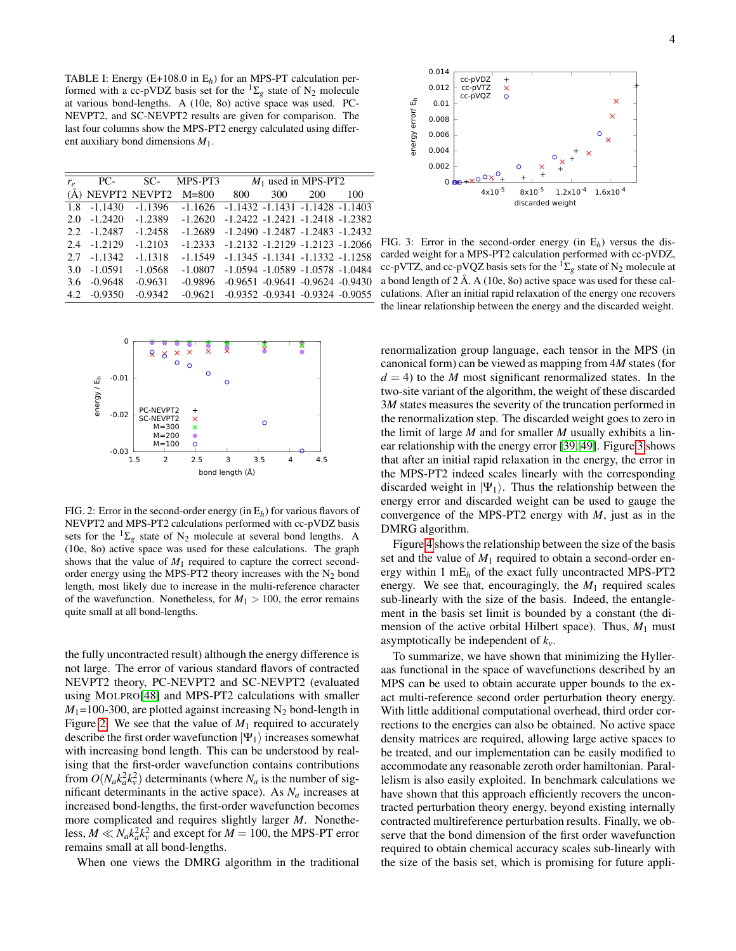<span id="page-3-0"></span>TABLE I: Energy  $(E+108.0 \text{ in } E_h)$  for an MPS-PT calculation performed with a cc-pVDZ basis set for the  ${}^{1}\Sigma_{g}$  state of N<sub>2</sub> molecule at various bond-lengths. A (10e, 8o) active space was used. PC-NEVPT2, and SC-NEVPT2 results are given for comparison. The last four columns show the MPS-PT2 energy calculated using different auxiliary bond dimensions *M*1.

| $r_e$ | PC-               | SC-       | MPS-PT3   | $M_1$ used in MPS-PT2 |     |                                         |     |
|-------|-------------------|-----------|-----------|-----------------------|-----|-----------------------------------------|-----|
|       | (Å) NEVPT2 NEVPT2 |           | $M = 800$ | 800                   | 300 | 200                                     | 100 |
| 1.8   | $-1.1430$         | $-1.1396$ | $-1.1626$ |                       |     | $-1.1432 - 1.1431 - 1.1428 - 1.1403$    |     |
| 2.0   | $-1.2420$         | $-1.2389$ | $-1.2620$ |                       |     | $-1.2422 - 1.2421 - 1.2418 - 1.2382$    |     |
|       | $2.2 - 1.2487$    | $-1.2458$ | $-1.2689$ |                       |     | $-1.2490 - 1.2487 - 1.2483 - 1.2432$    |     |
| 2.4   | $-1.2129$         | $-1.2103$ | $-1.2333$ |                       |     | $-1.2132 - 1.2129 - 1.2123 - 1.2066$    |     |
| 2.7   | $-1.1342$         | $-1.1318$ | $-1.1549$ |                       |     | $-1.1345 - 1.1341 - 1.1332 - 1.1258$    |     |
| 3.0   | $-1.0591$         | $-1.0568$ | $-1.0807$ |                       |     | $-1.0594$ $-1.0589$ $-1.0578$ $-1.0484$ |     |
| 3.6   | $-0.9648$         | $-0.9631$ | $-0.9896$ |                       |     | $-0.9651 - 0.9641 - 0.9624 - 0.9430$    |     |
| 4.2   | $-0.9350$         | $-0.9342$ | $-0.9621$ |                       |     | $-0.9352 -0.9341 -0.9324 -0.9055$       |     |
|       |                   |           |           |                       |     |                                         |     |



<span id="page-3-1"></span>FIG. 2: Error in the second-order energy (in E*h*) for various flavors of NEVPT2 and MPS-PT2 calculations performed with cc-pVDZ basis sets for the  ${}^{1}\Sigma_{g}$  state of N<sub>2</sub> molecule at several bond lengths. A (10e, 8o) active space was used for these calculations. The graph shows that the value of  $M_1$  required to capture the correct secondorder energy using the MPS-PT2 theory increases with the  $N_2$  bond length, most likely due to increase in the multi-reference character of the wavefunction. Nonetheless, for  $M_1 > 100$ , the error remains quite small at all bond-lengths.

the fully uncontracted result) although the energy difference is not large. The error of various standard flavors of contracted NEVPT2 theory, PC-NEVPT2 and SC-NEVPT2 (evaluated using MOLPRO[\[48\]](#page-4-29) and MPS-PT2 calculations with smaller  $M_1$ =100-300, are plotted against increasing N<sub>2</sub> bond-length in Figure [2.](#page-3-1) We see that the value of  $M_1$  required to accurately describe the first order wavefunction  $|\Psi_1\rangle$  increases somewhat with increasing bond length. This can be understood by realising that the first-order wavefunction contains contributions from  $O(N_a k_a^2 k_v^2)$  determinants (where  $N_a$  is the number of significant determinants in the active space). As *N<sup>a</sup>* increases at increased bond-lengths, the first-order wavefunction becomes more complicated and requires slightly larger *M*. Nonetheless,  $M \ll N_a k_a^2 k_v^2$  and except for  $M = 100$ , the MPS-PT error remains small at all bond-lengths.

When one views the DMRG algorithm in the traditional



<span id="page-3-2"></span>FIG. 3: Error in the second-order energy (in E*h*) versus the discarded weight for a MPS-PT2 calculation performed with cc-pVDZ, cc-pVTZ, and cc-pVQZ basis sets for the  ${}^{1}\Sigma_{g}$  state of N<sub>2</sub> molecule at a bond length of  $2 \text{ Å}$ . A (10e, 8o) active space was used for these calculations. After an initial rapid relaxation of the energy one recovers the linear relationship between the energy and the discarded weight.

renormalization group language, each tensor in the MPS (in canonical form) can be viewed as mapping from 4*M* states (for  $d = 4$ ) to the *M* most significant renormalized states. In the two-site variant of the algorithm, the weight of these discarded 3*M* states measures the severity of the truncation performed in the renormalization step. The discarded weight goes to zero in the limit of large *M* and for smaller *M* usually exhibits a linear relationship with the energy error [\[39,](#page-4-21) [49\]](#page-5-0). Figure [3](#page-3-2) shows that after an initial rapid relaxation in the energy, the error in the MPS-PT2 indeed scales linearly with the corresponding discarded weight in  $|\Psi_1\rangle$ . Thus the relationship between the energy error and discarded weight can be used to gauge the convergence of the MPS-PT2 energy with *M*, just as in the DMRG algorithm.

Figure [4](#page-4-30) shows the relationship between the size of the basis set and the value of  $M_1$  required to obtain a second-order energy within 1 mE*<sup>h</sup>* of the exact fully uncontracted MPS-PT2 energy. We see that, encouragingly, the  $M_1$  required scales sub-linearly with the size of the basis. Indeed, the entanglement in the basis set limit is bounded by a constant (the dimension of the active orbital Hilbert space). Thus,  $M_1$  must asymptotically be independent of *kv*.

To summarize, we have shown that minimizing the Hylleraas functional in the space of wavefunctions described by an MPS can be used to obtain accurate upper bounds to the exact multi-reference second order perturbation theory energy. With little additional computational overhead, third order corrections to the energies can also be obtained. No active space density matrices are required, allowing large active spaces to be treated, and our implementation can be easily modified to accommodate any reasonable zeroth order hamiltonian. Parallelism is also easily exploited. In benchmark calculations we have shown that this approach efficiently recovers the uncontracted perturbation theory energy, beyond existing internally contracted multireference perturbation results. Finally, we observe that the bond dimension of the first order wavefunction required to obtain chemical accuracy scales sub-linearly with the size of the basis set, which is promising for future appli-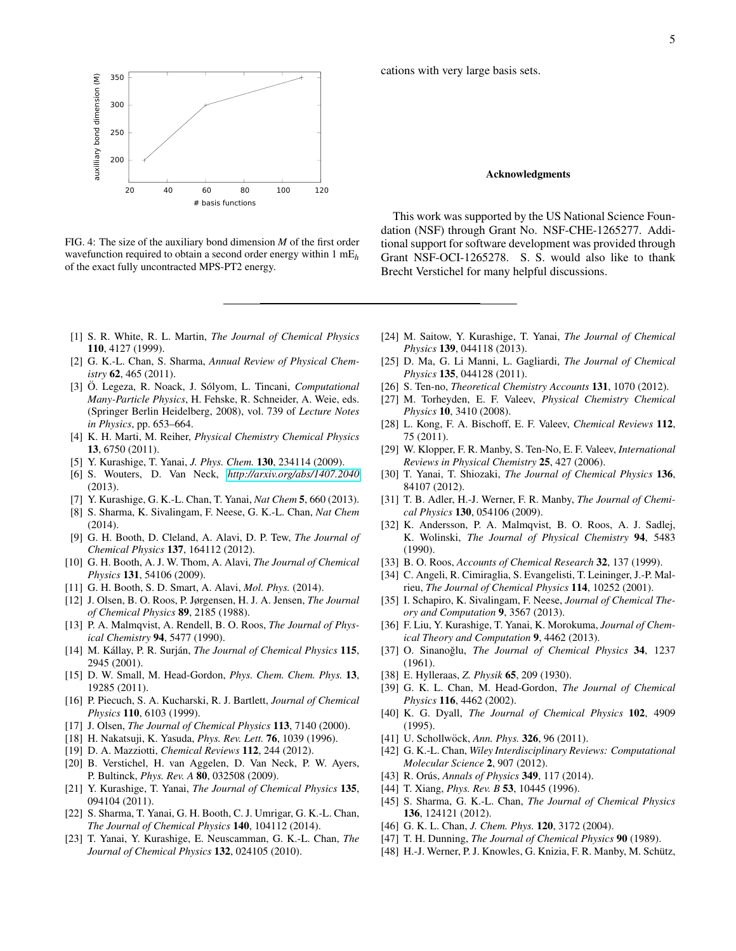

<span id="page-4-30"></span>FIG. 4: The size of the auxiliary bond dimension *M* of the first order wavefunction required to obtain a second order energy within 1 mE*<sup>h</sup>* of the exact fully uncontracted MPS-PT2 energy.

- <span id="page-4-0"></span>[1] S. R. White, R. L. Martin, *The Journal of Chemical Physics* 110, 4127 (1999).
- [2] G. K.-L. Chan, S. Sharma, *Annual Review of Physical Chemistry* 62, 465 (2011).
- [3] Ö. Legeza, R. Noack, J. Sólyom, L. Tincani, *Computational Many-Particle Physics*, H. Fehske, R. Schneider, A. Weie, eds. (Springer Berlin Heidelberg, 2008), vol. 739 of *Lecture Notes in Physics*, pp. 653–664.
- [4] K. H. Marti, M. Reiher, *Physical Chemistry Chemical Physics* 13, 6750 (2011).
- [5] Y. Kurashige, T. Yanai, *J. Phys. Chem.* 130, 234114 (2009).
- [6] S. Wouters, D. Van Neck, *[http://arxiv.org/abs/1407.2040](http://arxiv.org/abs/1407.2040/)* (2013).
- [7] Y. Kurashige, G. K.-L. Chan, T. Yanai, *Nat Chem* 5, 660 (2013).
- <span id="page-4-1"></span>[8] S. Sharma, K. Sivalingam, F. Neese, G. K.-L. Chan, *Nat Chem* (2014).
- <span id="page-4-2"></span>[9] G. H. Booth, D. Cleland, A. Alavi, D. P. Tew, *The Journal of Chemical Physics* 137, 164112 (2012).
- [10] G. H. Booth, A. J. W. Thom, A. Alavi, *The Journal of Chemical Physics* 131, 54106 (2009).
- <span id="page-4-3"></span>[11] G. H. Booth, S. D. Smart, A. Alavi, *Mol. Phys.* (2014).
- <span id="page-4-4"></span>[12] J. Olsen, B. O. Roos, P. Jørgensen, H. J. A. Jensen, *The Journal of Chemical Physics* 89, 2185 (1988).
- <span id="page-4-5"></span>[13] P. A. Malmqvist, A. Rendell, B. O. Roos, *The Journal of Physical Chemistry* 94, 5477 (1990).
- <span id="page-4-6"></span>[14] M. Kállay, P. R. Surján, *The Journal of Chemical Physics* 115, 2945 (2001).
- [15] D. W. Small, M. Head-Gordon, *Phys. Chem. Chem. Phys.* 13, 19285 (2011).
- [16] P. Piecuch, S. A. Kucharski, R. J. Bartlett, *Journal of Chemical Physics* 110, 6103 (1999).
- <span id="page-4-7"></span>[17] J. Olsen, *The Journal of Chemical Physics* 113, 7140 (2000).
- <span id="page-4-8"></span>[18] H. Nakatsuji, K. Yasuda, *Phys. Rev. Lett.* 76, 1039 (1996).
- [19] D. A. Mazziotti, *Chemical Reviews* 112, 244 (2012).
- <span id="page-4-9"></span>[20] B. Verstichel, H. van Aggelen, D. Van Neck, P. W. Ayers, P. Bultinck, *Phys. Rev. A* 80, 032508 (2009).
- <span id="page-4-10"></span>[21] Y. Kurashige, T. Yanai, *The Journal of Chemical Physics* 135, 094104 (2011).
- [22] S. Sharma, T. Yanai, G. H. Booth, C. J. Umrigar, G. K.-L. Chan, *The Journal of Chemical Physics* 140, 104112 (2014).
- [23] T. Yanai, Y. Kurashige, E. Neuscamman, G. K.-L. Chan, *The Journal of Chemical Physics* 132, 024105 (2010).

cations with very large basis sets.

## Acknowledgments

This work was supported by the US National Science Foundation (NSF) through Grant No. NSF-CHE-1265277. Additional support for software development was provided through Grant NSF-OCI-1265278. S. S. would also like to thank Brecht Verstichel for many helpful discussions.

- [24] M. Saitow, Y. Kurashige, T. Yanai, *The Journal of Chemical Physics* 139, 044118 (2013).
- <span id="page-4-11"></span>[25] D. Ma, G. Li Manni, L. Gagliardi, *The Journal of Chemical Physics* 135, 044128 (2011).
- <span id="page-4-12"></span>[26] S. Ten-no, *Theoretical Chemistry Accounts* 131, 1070 (2012).
- [27] M. Torheyden, E. F. Valeev, *Physical Chemistry Chemical Physics* 10, 3410 (2008).
- [28] L. Kong, F. A. Bischoff, E. F. Valeev, *Chemical Reviews* 112, 75 (2011).
- [29] W. Klopper, F. R. Manby, S. Ten-No, E. F. Valeev, *International Reviews in Physical Chemistry* 25, 427 (2006).
- [30] T. Yanai, T. Shiozaki, *The Journal of Chemical Physics* 136, 84107 (2012).
- <span id="page-4-13"></span>[31] T. B. Adler, H.-J. Werner, F. R. Manby, *The Journal of Chemical Physics* 130, 054106 (2009).
- <span id="page-4-14"></span>[32] K. Andersson, P. A. Malmqvist, B. O. Roos, A. J. Sadlej, K. Wolinski, *The Journal of Physical Chemistry* 94, 5483 (1990).
- <span id="page-4-15"></span>[33] B. O. Roos, *Accounts of Chemical Research* 32, 137 (1999).
- <span id="page-4-16"></span>[34] C. Angeli, R. Cimiraglia, S. Evangelisti, T. Leininger, J.-P. Malrieu, *The Journal of Chemical Physics* 114, 10252 (2001).
- <span id="page-4-17"></span>[35] I. Schapiro, K. Sivalingam, F. Neese, *Journal of Chemical Theory and Computation* 9, 3567 (2013).
- <span id="page-4-18"></span>[36] F. Liu, Y. Kurashige, T. Yanai, K. Morokuma, *Journal of Chemical Theory and Computation* 9, 4462 (2013).
- <span id="page-4-19"></span>[37] O. Sinanoğlu, *The Journal of Chemical Physics* 34, 1237 (1961).
- <span id="page-4-20"></span>[38] E. Hylleraas, *Z. Physik* 65, 209 (1930).
- <span id="page-4-21"></span>[39] G. K. L. Chan, M. Head-Gordon, *The Journal of Chemical Physics* 116, 4462 (2002).
- <span id="page-4-24"></span>[40] K. G. Dyall, *The Journal of Chemical Physics* 102, 4909 (1995).
- <span id="page-4-22"></span>[41] U. Schollwöck, Ann. Phys. **326**, 96 (2011).
- [42] G. K.-L. Chan, *Wiley Interdisciplinary Reviews: Computational Molecular Science* 2, 907 (2012).
- <span id="page-4-23"></span>[43] R. Orús, *Annals of Physics* 349, 117 (2014).
- <span id="page-4-25"></span>[44] T. Xiang, *Phys. Rev. B* 53, 10445 (1996).
- <span id="page-4-26"></span>[45] S. Sharma, G. K.-L. Chan, *The Journal of Chemical Physics* 136, 124121 (2012).
- <span id="page-4-27"></span>[46] G. K. L. Chan, *J. Chem. Phys.* 120, 3172 (2004).
- <span id="page-4-28"></span>[47] T. H. Dunning, *The Journal of Chemical Physics* 90 (1989).
- <span id="page-4-29"></span>[48] H.-J. Werner, P. J. Knowles, G. Knizia, F. R. Manby, M. Schütz,